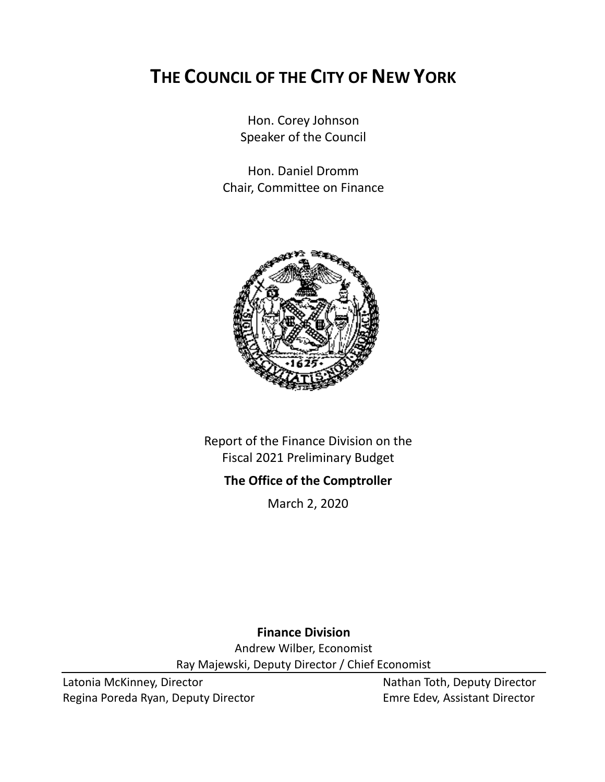# **THE COUNCIL OF THE CITY OF NEW YORK**

Hon. Corey Johnson Speaker of the Council

Hon. Daniel Dromm Chair, Committee on Finance



Report of the Finance Division on the Fiscal 2021 Preliminary Budget

### **The Office of the Comptroller**

March 2, 2020

**Finance Division**

Andrew Wilber, Economist Ray Majewski, Deputy Director / Chief Economist

Latonia McKinney, Director Nathan Toth, Deputy Director Regina Poreda Ryan, Deputy Director **Emre Edev, Assistant Director**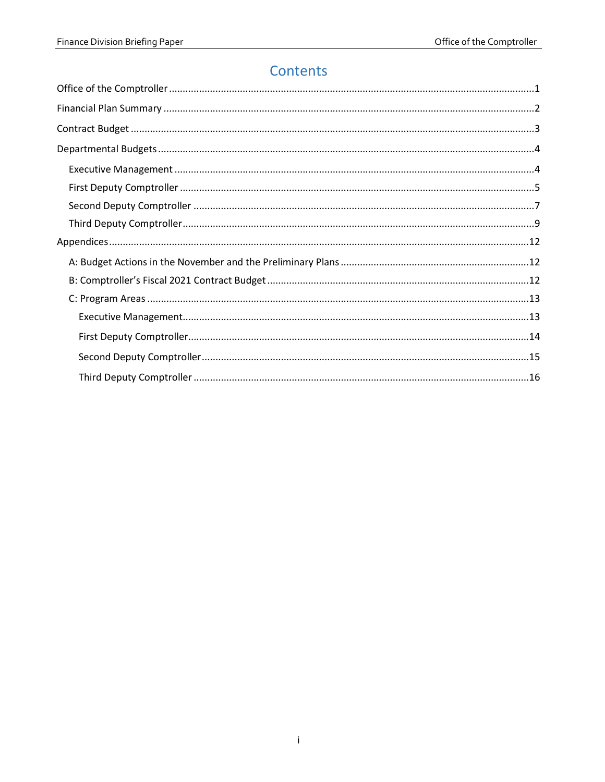### Contents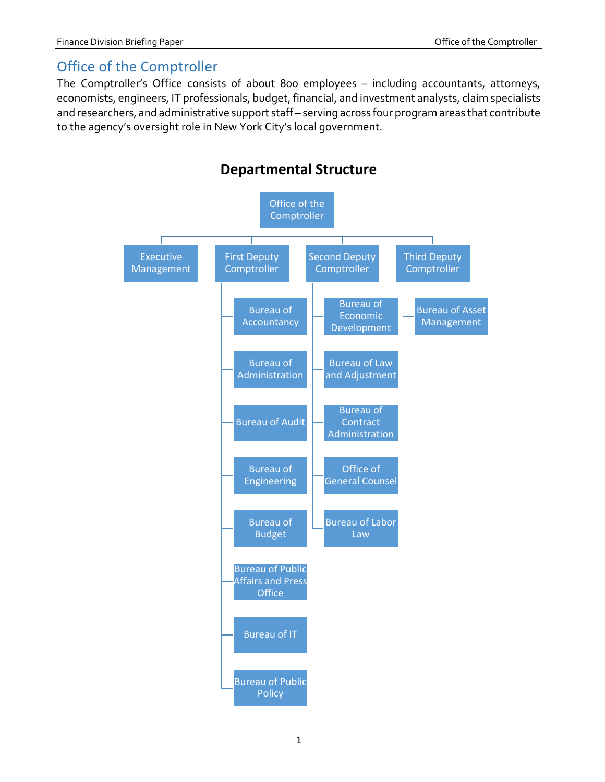### <span id="page-2-0"></span>Office of the Comptroller

The Comptroller's Office consists of about 800 employees – including accountants, attorneys, economists, engineers, IT professionals, budget, financial, and investment analysts, claim specialists and researchers, and administrative support staff – serving across four program areas that contribute to the agency's oversight role in New York City's local government.



### **Departmental Structure**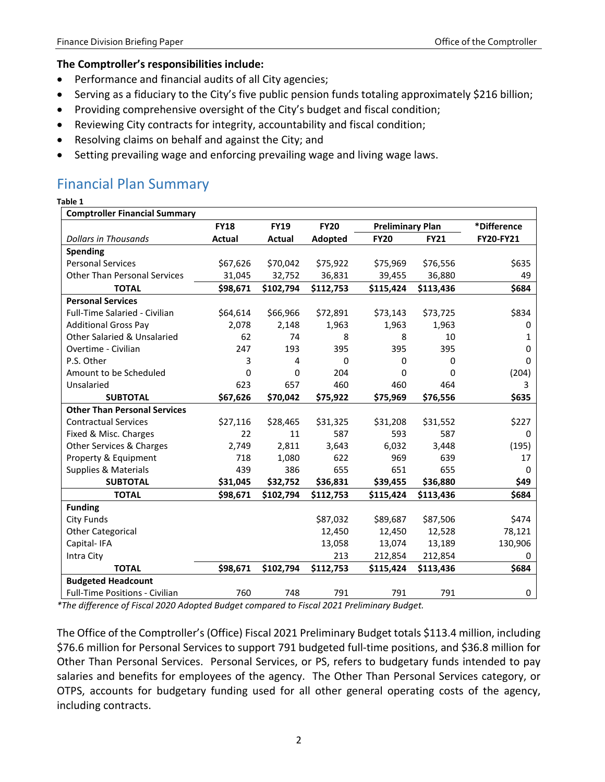#### **The Comptroller's responsibilities include:**

- Performance and financial audits of all City agencies;
- Serving as a fiduciary to the City's five public pension funds totaling approximately \$216 billion;
- Providing comprehensive oversight of the City's budget and fiscal condition;
- Reviewing City contracts for integrity, accountability and fiscal condition;
- Resolving claims on behalf and against the City; and
- <span id="page-3-0"></span>• Setting prevailing wage and enforcing prevailing wage and living wage laws.

### Financial Plan Summary

#### **Table 1**

| <b>Comptroller Financial Summary</b>  |               |               |             |                         |              |             |
|---------------------------------------|---------------|---------------|-------------|-------------------------|--------------|-------------|
|                                       | <b>FY18</b>   | <b>FY19</b>   | <b>FY20</b> | <b>Preliminary Plan</b> |              | *Difference |
| <b>Dollars in Thousands</b>           | <b>Actual</b> | <b>Actual</b> | Adopted     | <b>FY20</b>             | <b>FY21</b>  | FY20-FY21   |
| Spending                              |               |               |             |                         |              |             |
| <b>Personal Services</b>              | \$67,626      | \$70,042      | \$75,922    | \$75,969                | \$76,556     | \$635       |
| <b>Other Than Personal Services</b>   | 31,045        | 32,752        | 36,831      | 39,455                  | 36,880       | 49          |
| <b>TOTAL</b>                          | \$98,671      | \$102,794     | \$112,753   | \$115,424               | \$113,436    | \$684       |
| <b>Personal Services</b>              |               |               |             |                         |              |             |
| <b>Full-Time Salaried - Civilian</b>  | \$64,614      | \$66,966      | \$72,891    | \$73,143                | \$73,725     | \$834       |
| <b>Additional Gross Pay</b>           | 2,078         | 2,148         | 1,963       | 1,963                   | 1,963        | 0           |
| Other Salaried & Unsalaried           | 62            | 74            | 8           | 8                       | 10           | 1           |
| Overtime - Civilian                   | 247           | 193           | 395         | 395                     | 395          | 0           |
| P.S. Other                            | 3             | 4             | $\Omega$    | 0                       | $\mathbf{0}$ | 0           |
| Amount to be Scheduled                | 0             | 0             | 204         | 0                       | 0            | (204)       |
| Unsalaried                            | 623           | 657           | 460         | 460                     | 464          | 3           |
| <b>SUBTOTAL</b>                       | \$67,626      | \$70,042      | \$75,922    | \$75,969                | \$76,556     | \$635       |
| <b>Other Than Personal Services</b>   |               |               |             |                         |              |             |
| <b>Contractual Services</b>           | \$27,116      | \$28,465      | \$31,325    | \$31,208                | \$31,552     | \$227       |
| Fixed & Misc. Charges                 | 22            | 11            | 587         | 593                     | 587          | 0           |
| Other Services & Charges              | 2,749         | 2,811         | 3,643       | 6,032                   | 3,448        | (195)       |
| Property & Equipment                  | 718           | 1,080         | 622         | 969                     | 639          | 17          |
| <b>Supplies &amp; Materials</b>       | 439           | 386           | 655         | 651                     | 655          | 0           |
| <b>SUBTOTAL</b>                       | \$31,045      | \$32,752      | \$36,831    | \$39,455                | \$36,880     | \$49        |
| <b>TOTAL</b>                          | \$98,671      | \$102,794     | \$112,753   | \$115,424               | \$113,436    | \$684       |
| <b>Funding</b>                        |               |               |             |                         |              |             |
| City Funds                            |               |               | \$87,032    | \$89,687                | \$87,506     | \$474       |
| <b>Other Categorical</b>              |               |               | 12,450      | 12,450                  | 12,528       | 78,121      |
| Capital-IFA                           |               |               | 13,058      | 13,074                  | 13,189       | 130,906     |
| Intra City                            |               |               | 213         | 212,854                 | 212,854      | 0           |
| <b>TOTAL</b>                          | \$98,671      | \$102,794     | \$112,753   | \$115,424               | \$113,436    | \$684       |
| <b>Budgeted Headcount</b>             |               |               |             |                         |              |             |
| <b>Full-Time Positions - Civilian</b> | 760           | 748           | 791         | 791                     | 791          | 0           |

*\*The difference of Fiscal 2020 Adopted Budget compared to Fiscal 2021 Preliminary Budget.*

The Office of the Comptroller's (Office) Fiscal 2021 Preliminary Budget totals \$113.4 million, including \$76.6 million for Personal Services to support 791 budgeted full-time positions, and \$36.8 million for Other Than Personal Services. Personal Services, or PS, refers to budgetary funds intended to pay salaries and benefits for employees of the agency. The Other Than Personal Services category, or OTPS, accounts for budgetary funding used for all other general operating costs of the agency, including contracts.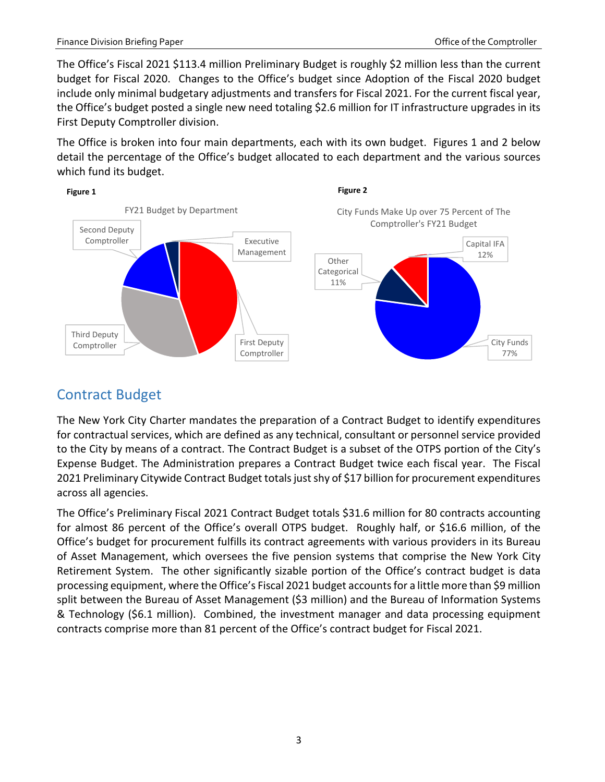The Office's Fiscal 2021 \$113.4 million Preliminary Budget is roughly \$2 million less than the current budget for Fiscal 2020. Changes to the Office's budget since Adoption of the Fiscal 2020 budget include only minimal budgetary adjustments and transfers for Fiscal 2021. For the current fiscal year, the Office's budget posted a single new need totaling \$2.6 million for IT infrastructure upgrades in its First Deputy Comptroller division.

The Office is broken into four main departments, each with its own budget. Figures 1 and 2 below detail the percentage of the Office's budget allocated to each department and the various sources which fund its budget.



## <span id="page-4-0"></span>Contract Budget

The New York City Charter mandates the preparation of a Contract Budget to identify expenditures for contractual services, which are defined as any technical, consultant or personnel service provided to the City by means of a contract. The Contract Budget is a subset of the OTPS portion of the City's Expense Budget. The Administration prepares a Contract Budget twice each fiscal year. The Fiscal 2021 Preliminary Citywide Contract Budget totals just shy of \$17 billion for procurement expenditures across all agencies.

The Office's Preliminary Fiscal 2021 Contract Budget totals \$31.6 million for 80 contracts accounting for almost 86 percent of the Office's overall OTPS budget. Roughly half, or \$16.6 million, of the Office's budget for procurement fulfills its contract agreements with various providers in its Bureau of Asset Management, which oversees the five pension systems that comprise the New York City Retirement System. The other significantly sizable portion of the Office's contract budget is data processing equipment, where the Office's Fiscal 2021 budget accounts for a little more than \$9 million split between the Bureau of Asset Management (\$3 million) and the Bureau of Information Systems & Technology (\$6.1 million). Combined, the investment manager and data processing equipment contracts comprise more than 81 percent of the Office's contract budget for Fiscal 2021.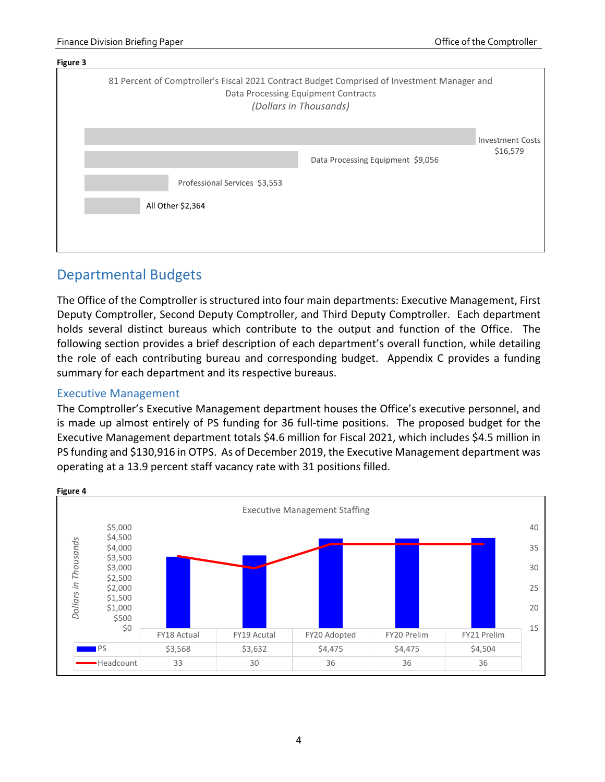

### <span id="page-5-0"></span>Departmental Budgets

The Office of the Comptroller is structured into four main departments: Executive Management, First Deputy Comptroller, Second Deputy Comptroller, and Third Deputy Comptroller. Each department holds several distinct bureaus which contribute to the output and function of the Office. The following section provides a brief description of each department's overall function, while detailing the role of each contributing bureau and corresponding budget. Appendix C provides a funding summary for each department and its respective bureaus.

#### <span id="page-5-1"></span>Executive Management

The Comptroller's Executive Management department houses the Office's executive personnel, and is made up almost entirely of PS funding for 36 full-time positions. The proposed budget for the Executive Management department totals \$4.6 million for Fiscal 2021, which includes \$4.5 million in PS funding and \$130,916 in OTPS. As of December 2019, the Executive Management department was operating at a 13.9 percent staff vacancy rate with 31 positions filled.



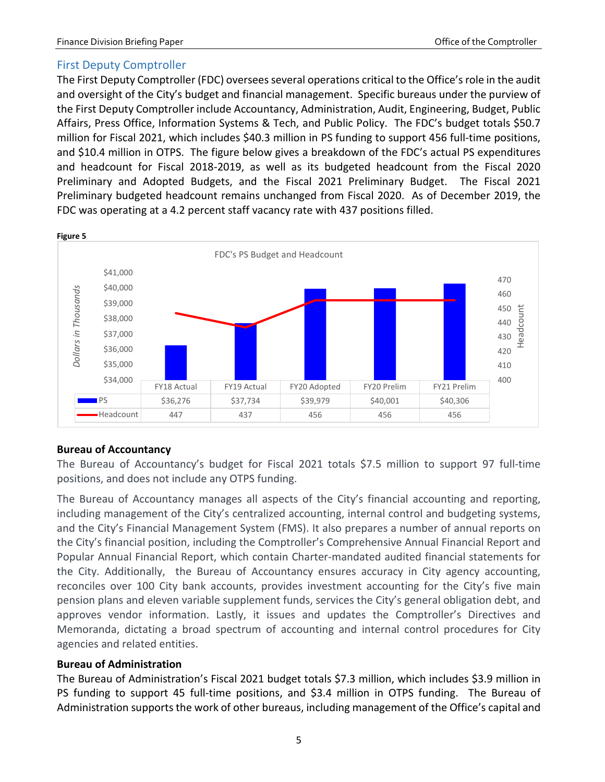#### <span id="page-6-0"></span>First Deputy Comptroller

The First Deputy Comptroller (FDC) oversees several operations critical to the Office's role in the audit and oversight of the City's budget and financial management. Specific bureaus under the purview of the First Deputy Comptroller include Accountancy, Administration, Audit, Engineering, Budget, Public Affairs, Press Office, Information Systems & Tech, and Public Policy. The FDC's budget totals \$50.7 million for Fiscal 2021, which includes \$40.3 million in PS funding to support 456 full-time positions, and \$10.4 million in OTPS. The figure below gives a breakdown of the FDC's actual PS expenditures and headcount for Fiscal 2018-2019, as well as its budgeted headcount from the Fiscal 2020 Preliminary and Adopted Budgets, and the Fiscal 2021 Preliminary Budget. The Fiscal 2021 Preliminary budgeted headcount remains unchanged from Fiscal 2020. As of December 2019, the FDC was operating at a 4.2 percent staff vacancy rate with 437 positions filled.



#### **Figure 5**

#### **Bureau of Accountancy**

The Bureau of Accountancy's budget for Fiscal 2021 totals \$7.5 million to support 97 full-time positions, and does not include any OTPS funding.

The Bureau of Accountancy manages all aspects of the City's financial accounting and reporting, including management of the City's centralized accounting, internal control and budgeting systems, and the City's Financial Management System (FMS). It also prepares a number of annual reports on the City's financial position, including the Comptroller's Comprehensive Annual Financial Report and Popular Annual Financial Report, which contain Charter-mandated audited financial statements for the City. Additionally, the Bureau of Accountancy ensures accuracy in City agency accounting, reconciles over 100 City bank accounts, provides investment accounting for the City's five main pension plans and eleven variable supplement funds, services the City's general obligation debt, and approves vendor information. Lastly, it issues and updates the Comptroller's Directives and Memoranda, dictating a broad spectrum of accounting and internal control procedures for City agencies and related entities.

#### **Bureau of Administration**

The Bureau of Administration's Fiscal 2021 budget totals \$7.3 million, which includes \$3.9 million in PS funding to support 45 full-time positions, and \$3.4 million in OTPS funding. The Bureau of Administration supports the work of other bureaus, including management of the Office's capital and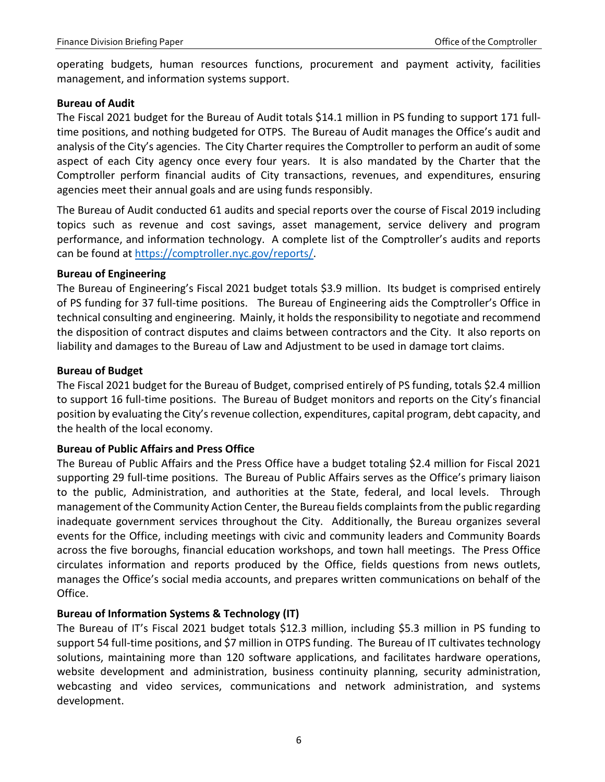operating budgets, human resources functions, procurement and payment activity, facilities management, and information systems support.

#### **Bureau of Audit**

The Fiscal 2021 budget for the Bureau of Audit totals \$14.1 million in PS funding to support 171 fulltime positions, and nothing budgeted for OTPS. The Bureau of Audit manages the Office's audit and analysis of the City's agencies. The City Charter requires the Comptroller to perform an audit of some aspect of each City agency once every four years. It is also mandated by the Charter that the Comptroller perform financial audits of City transactions, revenues, and expenditures, ensuring agencies meet their annual goals and are using funds responsibly.

The Bureau of Audit conducted 61 audits and special reports over the course of Fiscal 2019 including topics such as revenue and cost savings, asset management, service delivery and program performance, and information technology. A complete list of the Comptroller's audits and reports can be found at [https://comptroller.nyc.gov/reports/.](https://comptroller.nyc.gov/reports/)

#### **Bureau of Engineering**

The Bureau of Engineering's Fiscal 2021 budget totals \$3.9 million. Its budget is comprised entirely of PS funding for 37 full-time positions. The Bureau of Engineering aids the Comptroller's Office in technical consulting and engineering. Mainly, it holds the responsibility to negotiate and recommend the disposition of contract disputes and claims between contractors and the City. It also reports on liability and damages to the Bureau of Law and Adjustment to be used in damage tort claims.

#### **Bureau of Budget**

The Fiscal 2021 budget for the Bureau of Budget, comprised entirely of PS funding, totals \$2.4 million to support 16 full-time positions. The Bureau of Budget monitors and reports on the City's financial position by evaluating the City's revenue collection, expenditures, capital program, debt capacity, and the health of the local economy.

#### **Bureau of Public Affairs and Press Office**

The Bureau of Public Affairs and the Press Office have a budget totaling \$2.4 million for Fiscal 2021 supporting 29 full-time positions. The Bureau of Public Affairs serves as the Office's primary liaison to the public, Administration, and authorities at the State, federal, and local levels. Through management of the Community Action Center, the Bureau fields complaints from the public regarding inadequate government services throughout the City. Additionally, the Bureau organizes several events for the Office, including meetings with civic and community leaders and Community Boards across the five boroughs, financial education workshops, and town hall meetings. The Press Office circulates information and reports produced by the Office, fields questions from news outlets, manages the Office's social media accounts, and prepares written communications on behalf of the Office.

#### **Bureau of Information Systems & Technology (IT)**

The Bureau of IT's Fiscal 2021 budget totals \$12.3 million, including \$5.3 million in PS funding to support 54 full-time positions, and \$7 million in OTPS funding. The Bureau of IT cultivates technology solutions, maintaining more than 120 software applications, and facilitates hardware operations, website development and administration, business continuity planning, security administration, webcasting and video services, communications and network administration, and systems development.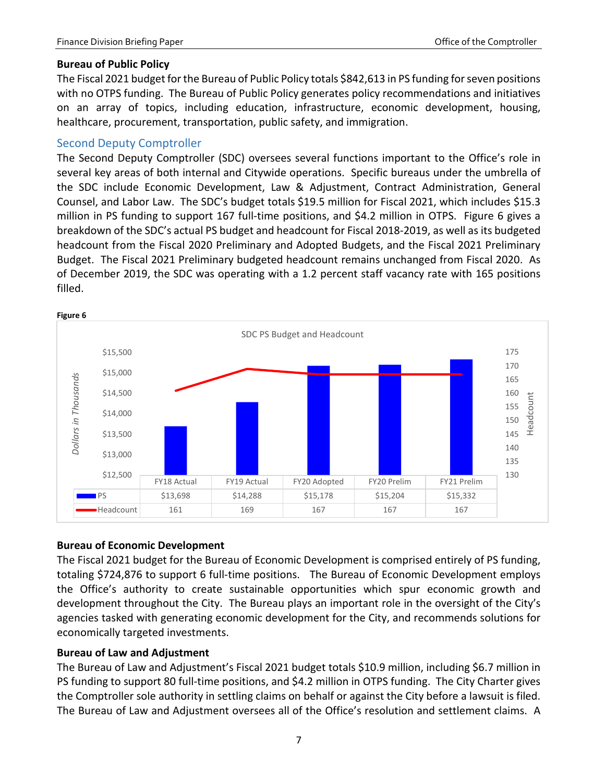#### **Bureau of Public Policy**

The Fiscal 2021 budget for the Bureau of Public Policy totals \$842,613 in PS funding for seven positions with no OTPS funding. The Bureau of Public Policy generates policy recommendations and initiatives on an array of topics, including education, infrastructure, economic development, housing, healthcare, procurement, transportation, public safety, and immigration.

#### <span id="page-8-0"></span>Second Deputy Comptroller

The Second Deputy Comptroller (SDC) oversees several functions important to the Office's role in several key areas of both internal and Citywide operations. Specific bureaus under the umbrella of the SDC include Economic Development, Law & Adjustment, Contract Administration, General Counsel, and Labor Law. The SDC's budget totals \$19.5 million for Fiscal 2021, which includes \$15.3 million in PS funding to support 167 full-time positions, and \$4.2 million in OTPS. Figure 6 gives a breakdown of the SDC's actual PS budget and headcount for Fiscal 2018-2019, as well as its budgeted headcount from the Fiscal 2020 Preliminary and Adopted Budgets, and the Fiscal 2021 Preliminary Budget. The Fiscal 2021 Preliminary budgeted headcount remains unchanged from Fiscal 2020. As of December 2019, the SDC was operating with a 1.2 percent staff vacancy rate with 165 positions filled.



#### **Bureau of Economic Development**

The Fiscal 2021 budget for the Bureau of Economic Development is comprised entirely of PS funding, totaling \$724,876 to support 6 full-time positions. The Bureau of Economic Development employs the Office's authority to create sustainable opportunities which spur economic growth and development throughout the City. The Bureau plays an important role in the oversight of the City's agencies tasked with generating economic development for the City, and recommends solutions for economically targeted investments.

#### **Bureau of Law and Adjustment**

The Bureau of Law and Adjustment's Fiscal 2021 budget totals \$10.9 million, including \$6.7 million in PS funding to support 80 full-time positions, and \$4.2 million in OTPS funding. The City Charter gives the Comptroller sole authority in settling claims on behalf or against the City before a lawsuit is filed. The Bureau of Law and Adjustment oversees all of the Office's resolution and settlement claims. A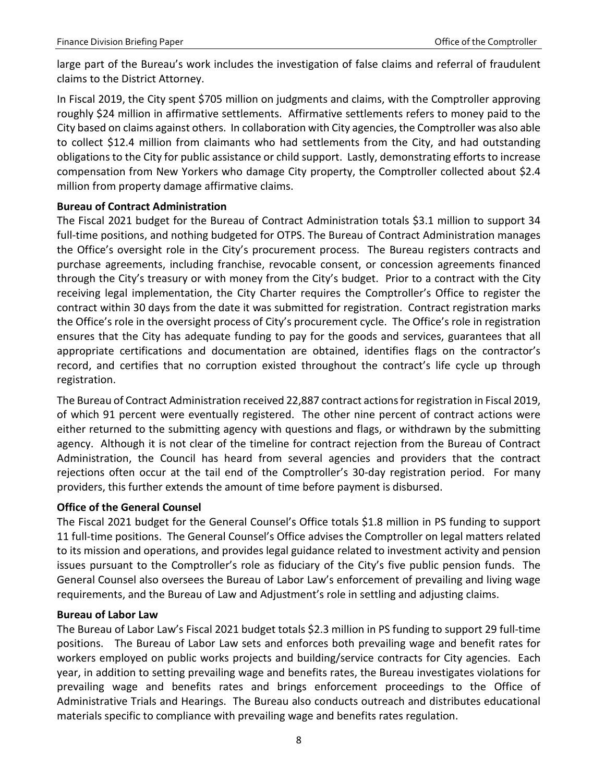large part of the Bureau's work includes the investigation of false claims and referral of fraudulent claims to the District Attorney.

In Fiscal 2019, the City spent \$705 million on judgments and claims, with the Comptroller approving roughly \$24 million in affirmative settlements. Affirmative settlements refers to money paid to the City based on claims against others. In collaboration with City agencies, the Comptroller was also able to collect \$12.4 million from claimants who had settlements from the City, and had outstanding obligations to the City for public assistance or child support. Lastly, demonstrating efforts to increase compensation from New Yorkers who damage City property, the Comptroller collected about \$2.4 million from property damage affirmative claims.

#### **Bureau of Contract Administration**

The Fiscal 2021 budget for the Bureau of Contract Administration totals \$3.1 million to support 34 full-time positions, and nothing budgeted for OTPS. The Bureau of Contract Administration manages the Office's oversight role in the City's procurement process. The Bureau registers contracts and purchase agreements, including franchise, revocable consent, or concession agreements financed through the City's treasury or with money from the City's budget. Prior to a contract with the City receiving legal implementation, the City Charter requires the Comptroller's Office to register the contract within 30 days from the date it was submitted for registration. Contract registration marks the Office's role in the oversight process of City's procurement cycle. The Office's role in registration ensures that the City has adequate funding to pay for the goods and services, guarantees that all appropriate certifications and documentation are obtained, identifies flags on the contractor's record, and certifies that no corruption existed throughout the contract's life cycle up through registration.

The Bureau of Contract Administration received 22,887 contract actions for registration in Fiscal 2019, of which 91 percent were eventually registered. The other nine percent of contract actions were either returned to the submitting agency with questions and flags, or withdrawn by the submitting agency. Although it is not clear of the timeline for contract rejection from the Bureau of Contract Administration, the Council has heard from several agencies and providers that the contract rejections often occur at the tail end of the Comptroller's 30-day registration period. For many providers, this further extends the amount of time before payment is disbursed.

#### **Office of the General Counsel**

The Fiscal 2021 budget for the General Counsel's Office totals \$1.8 million in PS funding to support 11 full-time positions. The General Counsel's Office advises the Comptroller on legal matters related to its mission and operations, and provides legal guidance related to investment activity and pension issues pursuant to the Comptroller's role as fiduciary of the City's five public pension funds. The General Counsel also oversees the Bureau of Labor Law's enforcement of prevailing and living wage requirements, and the Bureau of Law and Adjustment's role in settling and adjusting claims.

#### **Bureau of Labor Law**

The Bureau of Labor Law's Fiscal 2021 budget totals \$2.3 million in PS funding to support 29 full-time positions. The Bureau of Labor Law sets and enforces both prevailing wage and benefit rates for workers employed on public works projects and building/service contracts for City agencies. Each year, in addition to setting prevailing wage and benefits rates, the Bureau investigates violations for prevailing wage and benefits rates and brings enforcement proceedings to the Office of Administrative Trials and Hearings. The Bureau also conducts outreach and distributes educational materials specific to compliance with prevailing wage and benefits rates regulation.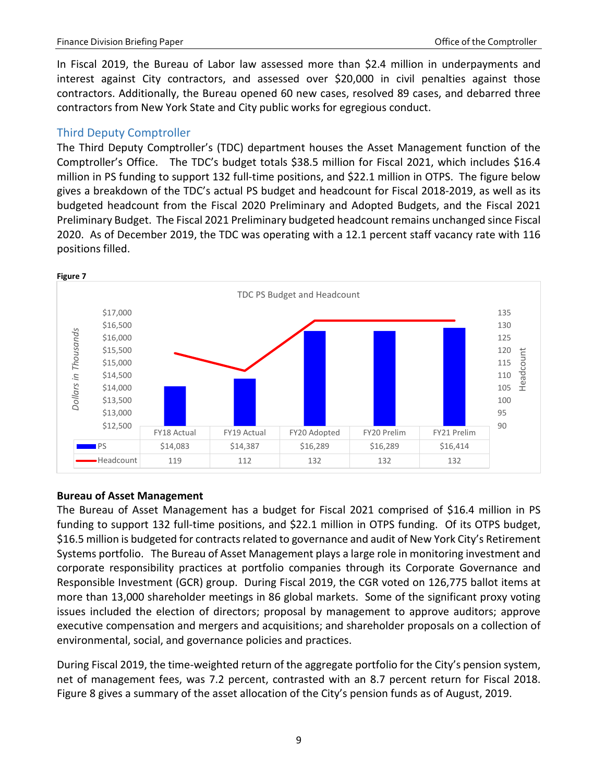In Fiscal 2019, the Bureau of Labor law assessed more than \$2.4 million in underpayments and interest against City contractors, and assessed over \$20,000 in civil penalties against those contractors. Additionally, the Bureau opened 60 new cases, resolved 89 cases, and debarred three contractors from New York State and City public works for egregious conduct.

#### <span id="page-10-0"></span>Third Deputy Comptroller

The Third Deputy Comptroller's (TDC) department houses the Asset Management function of the Comptroller's Office. The TDC's budget totals \$38.5 million for Fiscal 2021, which includes \$16.4 million in PS funding to support 132 full-time positions, and \$22.1 million in OTPS. The figure below gives a breakdown of the TDC's actual PS budget and headcount for Fiscal 2018-2019, as well as its budgeted headcount from the Fiscal 2020 Preliminary and Adopted Budgets, and the Fiscal 2021 Preliminary Budget. The Fiscal 2021 Preliminary budgeted headcount remains unchanged since Fiscal 2020. As of December 2019, the TDC was operating with a 12.1 percent staff vacancy rate with 116 positions filled.



#### **Bureau of Asset Management**

The Bureau of Asset Management has a budget for Fiscal 2021 comprised of \$16.4 million in PS funding to support 132 full-time positions, and \$22.1 million in OTPS funding. Of its OTPS budget, \$16.5 million is budgeted for contracts related to governance and audit of New York City's Retirement Systems portfolio. The Bureau of Asset Management plays a large role in monitoring investment and corporate responsibility practices at portfolio companies through its Corporate Governance and Responsible Investment (GCR) group. During Fiscal 2019, the CGR voted on 126,775 ballot items at more than 13,000 shareholder meetings in 86 global markets. Some of the significant proxy voting issues included the election of directors; proposal by management to approve auditors; approve executive compensation and mergers and acquisitions; and shareholder proposals on a collection of environmental, social, and governance policies and practices.

During Fiscal 2019, the time-weighted return of the aggregate portfolio for the City's pension system, net of management fees, was 7.2 percent, contrasted with an 8.7 percent return for Fiscal 2018. Figure 8 gives a summary of the asset allocation of the City's pension funds as of August, 2019.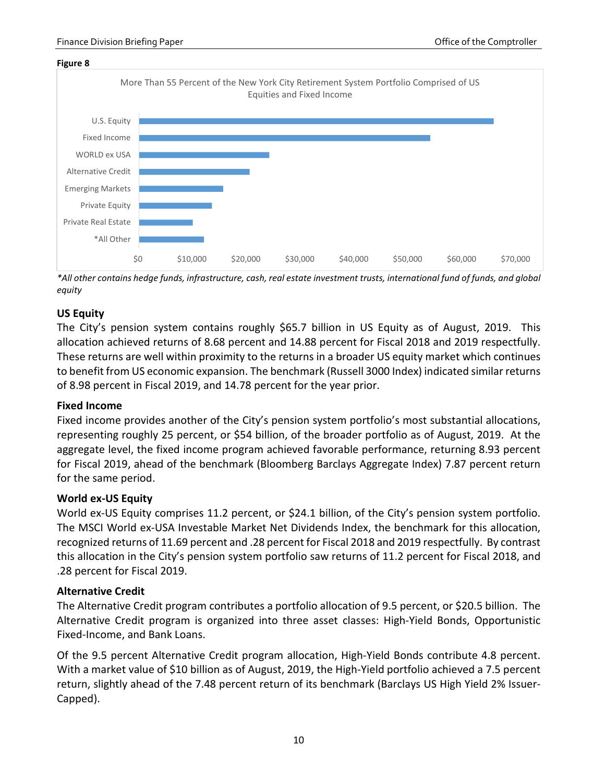

*\*All other contains hedge funds, infrastructure, cash, real estate investment trusts, international fund of funds, and global equity*

#### **US Equity**

The City's pension system contains roughly \$65.7 billion in US Equity as of August, 2019. This allocation achieved returns of 8.68 percent and 14.88 percent for Fiscal 2018 and 2019 respectfully. These returns are well within proximity to the returns in a broader US equity market which continues to benefit from US economic expansion. The benchmark (Russell 3000 Index) indicated similar returns of 8.98 percent in Fiscal 2019, and 14.78 percent for the year prior.

#### **Fixed Income**

Fixed income provides another of the City's pension system portfolio's most substantial allocations, representing roughly 25 percent, or \$54 billion, of the broader portfolio as of August, 2019. At the aggregate level, the fixed income program achieved favorable performance, returning 8.93 percent for Fiscal 2019, ahead of the benchmark (Bloomberg Barclays Aggregate Index) 7.87 percent return for the same period.

#### **World ex-US Equity**

World ex-US Equity comprises 11.2 percent, or \$24.1 billion, of the City's pension system portfolio. The MSCI World ex-USA Investable Market Net Dividends Index, the benchmark for this allocation, recognized returns of 11.69 percent and .28 percent for Fiscal 2018 and 2019 respectfully. By contrast this allocation in the City's pension system portfolio saw returns of 11.2 percent for Fiscal 2018, and .28 percent for Fiscal 2019.

#### **Alternative Credit**

The Alternative Credit program contributes a portfolio allocation of 9.5 percent, or \$20.5 billion. The Alternative Credit program is organized into three asset classes: High-Yield Bonds, Opportunistic Fixed-Income, and Bank Loans.

Of the 9.5 percent Alternative Credit program allocation, High-Yield Bonds contribute 4.8 percent. With a market value of \$10 billion as of August, 2019, the High-Yield portfolio achieved a 7.5 percent return, slightly ahead of the 7.48 percent return of its benchmark (Barclays US High Yield 2% Issuer-Capped).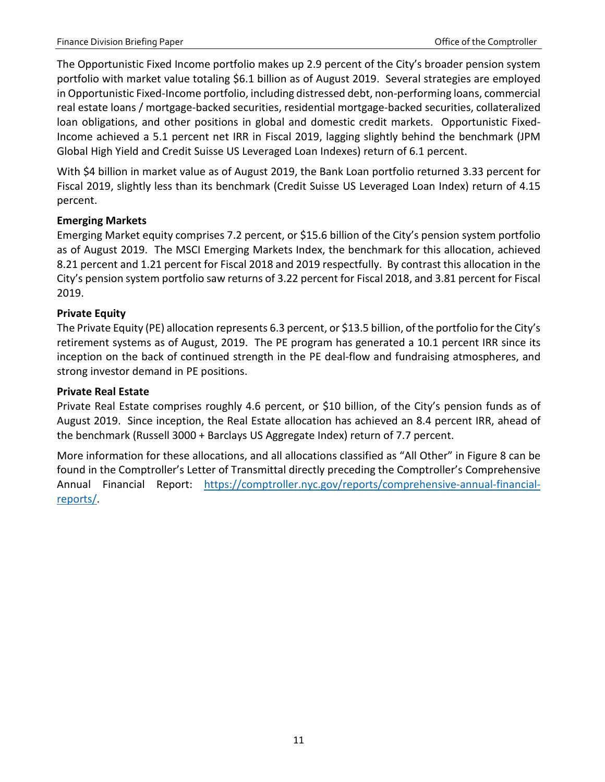The Opportunistic Fixed Income portfolio makes up 2.9 percent of the City's broader pension system portfolio with market value totaling \$6.1 billion as of August 2019. Several strategies are employed in Opportunistic Fixed-Income portfolio, including distressed debt, non-performing loans, commercial real estate loans / mortgage-backed securities, residential mortgage-backed securities, collateralized loan obligations, and other positions in global and domestic credit markets. Opportunistic Fixed-Income achieved a 5.1 percent net IRR in Fiscal 2019, lagging slightly behind the benchmark (JPM Global High Yield and Credit Suisse US Leveraged Loan Indexes) return of 6.1 percent.

With \$4 billion in market value as of August 2019, the Bank Loan portfolio returned 3.33 percent for Fiscal 2019, slightly less than its benchmark (Credit Suisse US Leveraged Loan Index) return of 4.15 percent.

### **Emerging Markets**

Emerging Market equity comprises 7.2 percent, or \$15.6 billion of the City's pension system portfolio as of August 2019. The MSCI Emerging Markets Index, the benchmark for this allocation, achieved 8.21 percent and 1.21 percent for Fiscal 2018 and 2019 respectfully. By contrast this allocation in the City's pension system portfolio saw returns of 3.22 percent for Fiscal 2018, and 3.81 percent for Fiscal 2019.

### **Private Equity**

The Private Equity (PE) allocation represents 6.3 percent, or \$13.5 billion, of the portfolio for the City's retirement systems as of August, 2019. The PE program has generated a 10.1 percent IRR since its inception on the back of continued strength in the PE deal-flow and fundraising atmospheres, and strong investor demand in PE positions.

#### **Private Real Estate**

Private Real Estate comprises roughly 4.6 percent, or \$10 billion, of the City's pension funds as of August 2019. Since inception, the Real Estate allocation has achieved an 8.4 percent IRR, ahead of the benchmark (Russell 3000 + Barclays US Aggregate Index) return of 7.7 percent.

More information for these allocations, and all allocations classified as "All Other" in Figure 8 can be found in the Comptroller's Letter of Transmittal directly preceding the Comptroller's Comprehensive Annual Financial Report: [https://comptroller.nyc.gov/reports/comprehensive-annual-financial](https://comptroller.nyc.gov/reports/comprehensive-annual-financial-reports/)[reports/.](https://comptroller.nyc.gov/reports/comprehensive-annual-financial-reports/)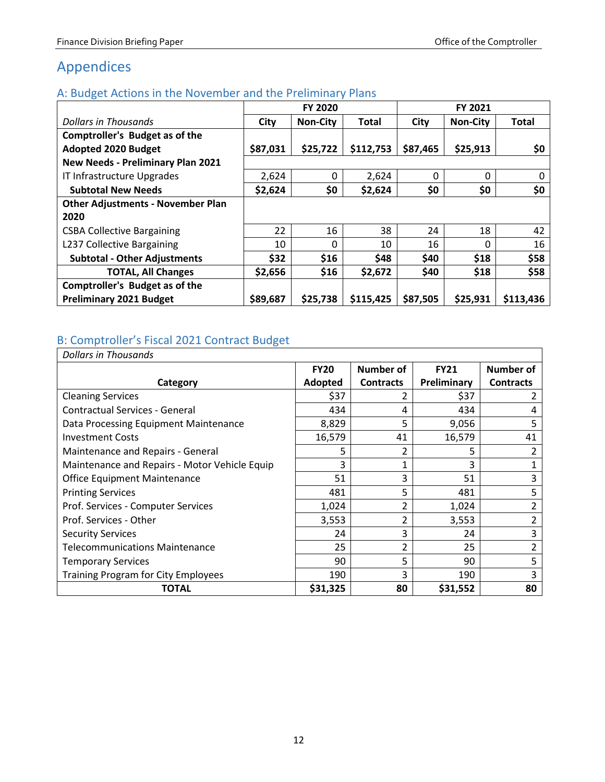## <span id="page-13-0"></span>Appendices

### <span id="page-13-1"></span>A: Budget Actions in the November and the Preliminary Plans

| ັ                                        | FY 2020  |                 |              |          |                 |              |
|------------------------------------------|----------|-----------------|--------------|----------|-----------------|--------------|
| Dollars in Thousands                     | City     | <b>Non-City</b> | <b>Total</b> | City     | <b>Non-City</b> | <b>Total</b> |
| <b>Comptroller's Budget as of the</b>    |          |                 |              |          |                 |              |
| <b>Adopted 2020 Budget</b>               | \$87,031 | \$25,722        | \$112,753    | \$87,465 | \$25,913        | \$0          |
| <b>New Needs - Preliminary Plan 2021</b> |          |                 |              |          |                 |              |
| IT Infrastructure Upgrades               | 2,624    | 0               | 2,624        | $\Omega$ | 0               | 0            |
| <b>Subtotal New Needs</b>                | \$2,624  | \$0             | \$2,624      | \$0      | \$0             | \$0          |
| <b>Other Adjustments - November Plan</b> |          |                 |              |          |                 |              |
| 2020                                     |          |                 |              |          |                 |              |
| <b>CSBA Collective Bargaining</b>        | 22       | 16              | 38           | 24       | 18              | 42           |
| L237 Collective Bargaining               | 10       | $\Omega$        | 10           | 16       | O               | 16           |
| <b>Subtotal - Other Adjustments</b>      | \$32     | \$16            | \$48         | \$40     | \$18            | \$58         |
| <b>TOTAL, All Changes</b>                | \$2,656  | \$16            | \$2,672      | \$40     | \$18            | \$58         |
| <b>Comptroller's Budget as of the</b>    |          |                 |              |          |                 |              |
| <b>Preliminary 2021 Budget</b>           | \$89,687 | \$25,738        | \$115,425    | \$87,505 | \$25,931        | \$113,436    |

### <span id="page-13-2"></span>B: Comptroller's Fiscal 2021 Contract Budget

| <b>Dollars in Thousands</b>                   |             |                  |             |                  |
|-----------------------------------------------|-------------|------------------|-------------|------------------|
|                                               | <b>FY20</b> | Number of        | <b>FY21</b> | Number of        |
| Category                                      | Adopted     | <b>Contracts</b> | Preliminary | <b>Contracts</b> |
| <b>Cleaning Services</b>                      | \$37        | 2                | \$37        |                  |
| <b>Contractual Services - General</b>         | 434         | 4                | 434         | 4                |
| Data Processing Equipment Maintenance         | 8,829       | 5                | 9,056       | 5                |
| <b>Investment Costs</b>                       | 16,579      | 41               | 16,579      | 41               |
| Maintenance and Repairs - General             | 5           | 2                | 5           |                  |
| Maintenance and Repairs - Motor Vehicle Equip | 3           |                  | 3           |                  |
| <b>Office Equipment Maintenance</b>           | 51          | 3                | 51          | 3                |
| <b>Printing Services</b>                      | 481         | 5                | 481         | 5                |
| Prof. Services - Computer Services            | 1,024       | $\overline{2}$   | 1,024       | 2                |
| Prof. Services - Other                        | 3,553       | 2                | 3,553       |                  |
| <b>Security Services</b>                      | 24          | 3                | 24          | 3                |
| <b>Telecommunications Maintenance</b>         | 25          | $\mathfrak{p}$   | 25          | 2                |
| <b>Temporary Services</b>                     | 90          | 5                | 90          | 5                |
| <b>Training Program for City Employees</b>    | 190         | 3                | 190         | 3                |
| TOTAL                                         | \$31,325    | 80               | \$31,552    | 80               |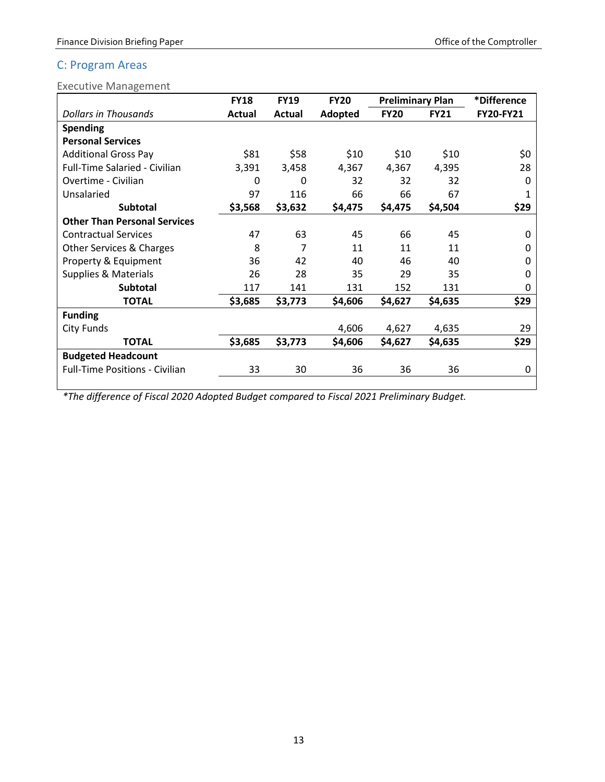### <span id="page-14-0"></span>C: Program Areas

<span id="page-14-1"></span>Executive Management

|                                       | <b>FY18</b> | <b>FY19</b> | <b>FY20</b> | <b>Preliminary Plan</b> |             | *Difference  |
|---------------------------------------|-------------|-------------|-------------|-------------------------|-------------|--------------|
| <b>Dollars in Thousands</b>           | Actual      | Actual      | Adopted     | <b>FY20</b>             | <b>FY21</b> | FY20-FY21    |
| <b>Spending</b>                       |             |             |             |                         |             |              |
| <b>Personal Services</b>              |             |             |             |                         |             |              |
| <b>Additional Gross Pay</b>           | \$81        | \$58        | \$10        | \$10                    | \$10        | \$0          |
| Full-Time Salaried - Civilian         | 3,391       | 3,458       | 4,367       | 4,367                   | 4,395       | 28           |
| Overtime - Civilian                   | 0           | 0           | 32          | 32                      | 32          | 0            |
| Unsalaried                            | 97          | 116         | 66          | 66                      | 67          |              |
| <b>Subtotal</b>                       | \$3,568     | \$3,632     | \$4,475     | \$4,475                 | \$4,504     | \$29         |
| <b>Other Than Personal Services</b>   |             |             |             |                         |             |              |
| <b>Contractual Services</b>           | 47          | 63          | 45          | 66                      | 45          | <sup>0</sup> |
| Other Services & Charges              | 8           | 7           | 11          | 11                      | 11          | 0            |
| Property & Equipment                  | 36          | 42          | 40          | 46                      | 40          | $\Omega$     |
| Supplies & Materials                  | 26          | 28          | 35          | 29                      | 35          | 0            |
| <b>Subtotal</b>                       | 117         | 141         | 131         | 152                     | 131         | 0            |
| <b>TOTAL</b>                          | \$3,685     | \$3,773     | \$4,606     | \$4,627                 | \$4,635     | \$29         |
| <b>Funding</b>                        |             |             |             |                         |             |              |
| City Funds                            |             |             | 4,606       | 4,627                   | 4,635       | 29           |
| <b>TOTAL</b>                          | \$3,685     | \$3,773     | \$4,606     | \$4,627                 | \$4,635     | \$29         |
| <b>Budgeted Headcount</b>             |             |             |             |                         |             |              |
| <b>Full-Time Positions - Civilian</b> | 33          | 30          | 36          | 36                      | 36          | 0            |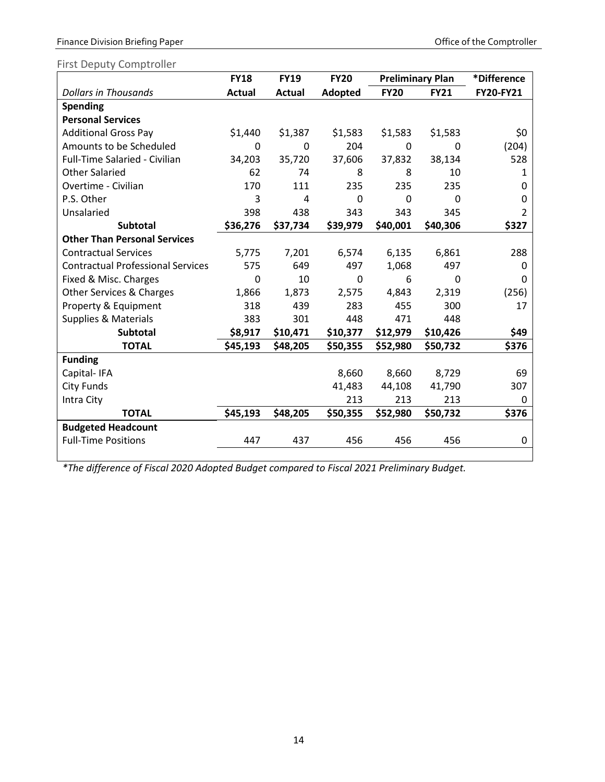Finance Division Briefing Paper **Comptroller** Comptroller

### <span id="page-15-0"></span>First Deputy Comptroller

|                                          | <b>FY18</b>   | <b>FY19</b> | <b>FY20</b> |             | <b>Preliminary Plan</b> |           |
|------------------------------------------|---------------|-------------|-------------|-------------|-------------------------|-----------|
| <b>Dollars in Thousands</b>              | <b>Actual</b> | Actual      | Adopted     | <b>FY20</b> | <b>FY21</b>             | FY20-FY21 |
| <b>Spending</b>                          |               |             |             |             |                         |           |
| <b>Personal Services</b>                 |               |             |             |             |                         |           |
| <b>Additional Gross Pay</b>              | \$1,440       | \$1,387     | \$1,583     | \$1,583     | \$1,583                 | \$0       |
| Amounts to be Scheduled                  | 0             | 0           | 204         | 0           | 0                       | (204)     |
| Full-Time Salaried - Civilian            | 34,203        | 35,720      | 37,606      | 37,832      | 38,134                  | 528       |
| <b>Other Salaried</b>                    | 62            | 74          | 8           | 8           | 10                      | 1         |
| Overtime - Civilian                      | 170           | 111         | 235         | 235         | 235                     | 0         |
| P.S. Other                               | 3             | 4           | 0           | 0           | $\mathbf 0$             | 0         |
| Unsalaried                               | 398           | 438         | 343         | 343         | 345                     | 2         |
| <b>Subtotal</b>                          | \$36,276      | \$37,734    | \$39,979    | \$40,001    | \$40,306                | \$327     |
| <b>Other Than Personal Services</b>      |               |             |             |             |                         |           |
| <b>Contractual Services</b>              | 5,775         | 7,201       | 6,574       | 6,135       | 6,861                   | 288       |
| <b>Contractual Professional Services</b> | 575           | 649         | 497         | 1,068       | 497                     | 0         |
| Fixed & Misc. Charges                    | 0             | 10          | 0           | 6           | 0                       | 0         |
| Other Services & Charges                 | 1,866         | 1,873       | 2,575       | 4,843       | 2,319                   | (256)     |
| Property & Equipment                     | 318           | 439         | 283         | 455         | 300                     | 17        |
| <b>Supplies &amp; Materials</b>          | 383           | 301         | 448         | 471         | 448                     |           |
| <b>Subtotal</b>                          | \$8,917       | \$10,471    | \$10,377    | \$12,979    | \$10,426                | \$49      |
| <b>TOTAL</b>                             | \$45,193      | \$48,205    | \$50,355    | \$52,980    | \$50,732                | \$376     |
| <b>Funding</b>                           |               |             |             |             |                         |           |
| Capital-IFA                              |               |             | 8,660       | 8,660       | 8,729                   | 69        |
| <b>City Funds</b>                        |               |             | 41,483      | 44,108      | 41,790                  | 307       |
| Intra City                               |               |             | 213         | 213         | 213                     | 0         |
| <b>TOTAL</b>                             | \$45,193      | \$48,205    | \$50,355    | \$52,980    | \$50,732                | \$376     |
| <b>Budgeted Headcount</b>                |               |             |             |             |                         |           |
| <b>Full-Time Positions</b>               | 447           | 437         | 456         | 456         | 456                     | 0         |
|                                          |               |             |             |             |                         |           |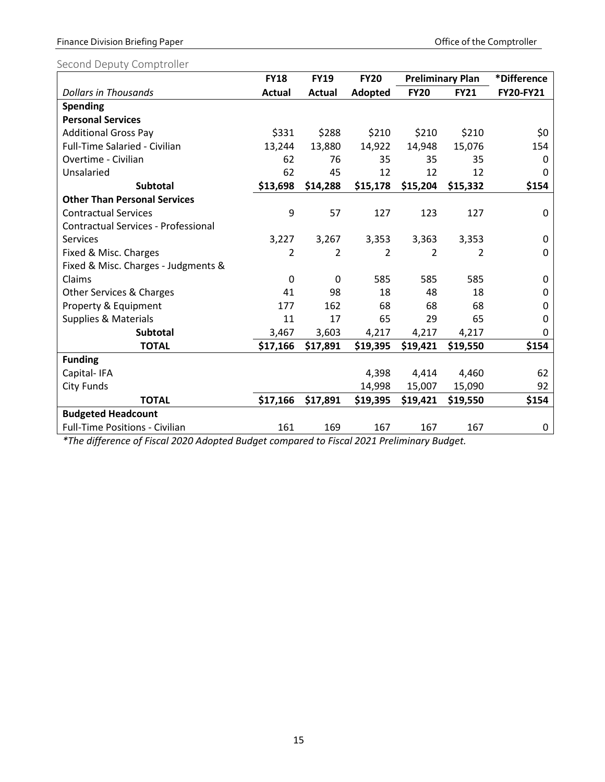### Finance Division Briefing Paper **Comptroller** Comptroller

### <span id="page-16-0"></span>Second Deputy Comptroller

|                                            | <b>FY18</b>   | <b>FY19</b>   | <b>FY20</b>    | <b>Preliminary Plan</b> |             | *Difference |
|--------------------------------------------|---------------|---------------|----------------|-------------------------|-------------|-------------|
| <b>Dollars in Thousands</b>                | <b>Actual</b> | <b>Actual</b> | Adopted        | <b>FY20</b>             | <b>FY21</b> | FY20-FY21   |
| Spending                                   |               |               |                |                         |             |             |
| <b>Personal Services</b>                   |               |               |                |                         |             |             |
| <b>Additional Gross Pay</b>                | \$331         | \$288         | \$210          | \$210                   | \$210       | \$0         |
| Full-Time Salaried - Civilian              | 13,244        | 13,880        | 14,922         | 14,948                  | 15,076      | 154         |
| Overtime - Civilian                        | 62            | 76            | 35             | 35                      | 35          | 0           |
| Unsalaried                                 | 62            | 45            | 12             | 12                      | 12          | 0           |
| <b>Subtotal</b>                            | \$13,698      | \$14,288      | \$15,178       | \$15,204                | \$15,332    | \$154       |
| <b>Other Than Personal Services</b>        |               |               |                |                         |             |             |
| <b>Contractual Services</b>                | 9             | 57            | 127            | 123                     | 127         | 0           |
| <b>Contractual Services - Professional</b> |               |               |                |                         |             |             |
| Services                                   | 3,227         | 3,267         | 3,353          | 3,363                   | 3,353       | 0           |
| Fixed & Misc. Charges                      | 2             | 2             | $\overline{2}$ | $\overline{2}$          | 2           | 0           |
| Fixed & Misc. Charges - Judgments &        |               |               |                |                         |             |             |
| Claims                                     | $\mathbf 0$   | $\mathbf 0$   | 585            | 585                     | 585         | 0           |
| Other Services & Charges                   | 41            | 98            | 18             | 48                      | 18          | 0           |
| Property & Equipment                       | 177           | 162           | 68             | 68                      | 68          | 0           |
| <b>Supplies &amp; Materials</b>            | 11            | 17            | 65             | 29                      | 65          | 0           |
| <b>Subtotal</b>                            | 3,467         | 3,603         | 4,217          | 4,217                   | 4,217       | 0           |
| <b>TOTAL</b>                               | \$17,166      | \$17,891      | \$19,395       | \$19,421                | \$19,550    | \$154       |
| <b>Funding</b>                             |               |               |                |                         |             |             |
| Capital-IFA                                |               |               | 4,398          | 4,414                   | 4,460       | 62          |
| <b>City Funds</b>                          |               |               | 14,998         | 15,007                  | 15,090      | 92          |
| <b>TOTAL</b>                               | \$17,166      | \$17,891      | \$19,395       | \$19,421                | \$19,550    | \$154       |
| <b>Budgeted Headcount</b>                  |               |               |                |                         |             |             |
| <b>Full-Time Positions - Civilian</b>      | 161           | 169           | 167            | 167                     | 167         | 0           |